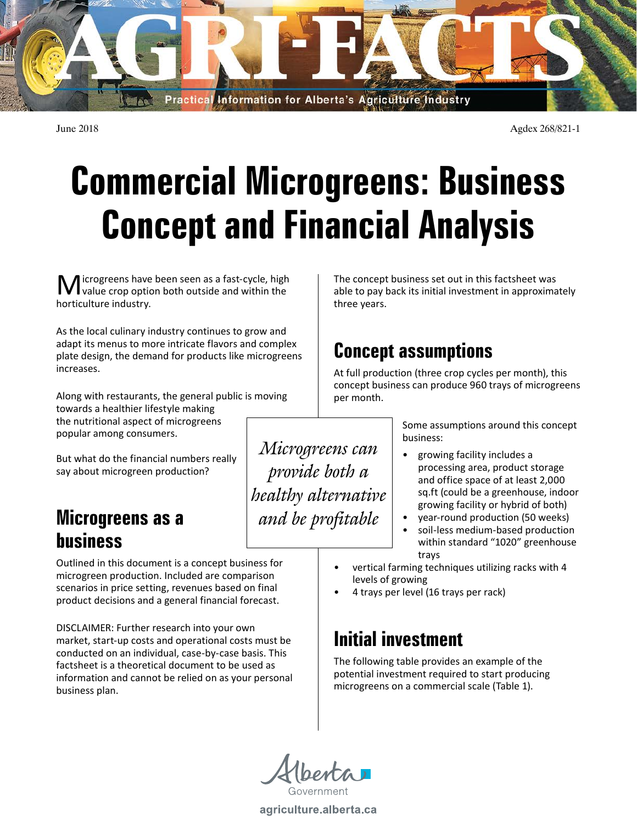

June 2018 Agdex 268/821-1

# **Commercial Microgreens: Business Concept and Financial Analysis**

*provide both a* 

*healthy alternative* 

*and be profitable*

licrogreens have been seen as a fast-cycle, high value crop option both outside and within the horticulture industry.

As the local culinary industry continues to grow and adapt its menus to more intricate flavors and complex plate design, the demand for products like microgreens increases.

*Microgreens can*  Along with restaurants, the general public is moving towards a healthier lifestyle making the nutritional aspect of microgreens popular among consumers.

But what do the financial numbers really say about microgreen production?

### **Microgreens as a business**

Outlined in this document is a concept business for microgreen production. Included are comparison scenarios in price setting, revenues based on final product decisions and a general financial forecast.

DISCLAIMER: Further research into your own market, start-up costs and operational costs must be conducted on an individual, case-by-case basis. This factsheet is a theoretical document to be used as information and cannot be relied on as your personal business plan.

The concept business set out in this factsheet was able to pay back its initial investment in approximately three years.

### **Concept assumptions**

At full production (three crop cycles per month), this concept business can produce 960 trays of microgreens per month.

> Some assumptions around this concept business:

- growing facility includes a processing area, product storage and office space of at least 2,000 sq.ft (could be a greenhouse, indoor growing facility or hybrid of both)
- year-round production (50 weeks)
- soil-less medium-based production within standard "1020" greenhouse trays
- vertical farming techniques utilizing racks with 4 levels of growing
- 4 trays per level (16 trays per rack)

### **Initial investment**

The following table provides an example of the potential investment required to start producing microgreens on a commercial scale (Table 1).

agriculture.alberta.ca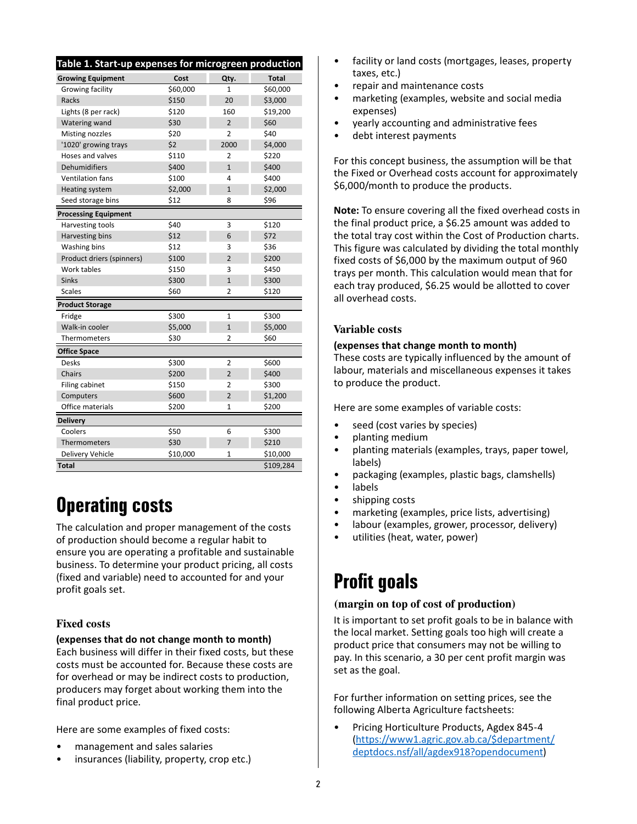| Table 1. Start-up expenses for microgreen production |          |                |              |
|------------------------------------------------------|----------|----------------|--------------|
| <b>Growing Equipment</b>                             | Cost     | Qty.           | <b>Total</b> |
| Growing facility                                     | \$60,000 | 1              | \$60,000     |
| Racks                                                | \$150    | 20             | \$3,000      |
| Lights (8 per rack)                                  | \$120    | 160            | \$19,200     |
| Watering wand                                        | \$30     | $\overline{2}$ | \$60         |
| Misting nozzles                                      | \$20     | $\overline{2}$ | \$40         |
| '1020' growing trays                                 | \$2      | 2000           | \$4,000      |
| Hoses and valves                                     | \$110    | $\overline{2}$ | \$220        |
| <b>Dehumidifiers</b>                                 | \$400    | $\mathbf{1}$   | \$400        |
| <b>Ventilation fans</b>                              | \$100    | 4              | \$400        |
| Heating system                                       | \$2,000  | $\mathbf{1}$   | \$2,000      |
| Seed storage bins                                    | \$12     | 8              | \$96         |
| <b>Processing Equipment</b>                          |          |                |              |
| Harvesting tools                                     | \$40     | 3              | \$120        |
| Harvesting bins                                      | \$12     | 6              | \$72         |
| Washing bins                                         | \$12     | 3              | \$36         |
| Product driers (spinners)                            | \$100    | $\overline{2}$ | \$200        |
| Work tables                                          | \$150    | 3              | \$450        |
| <b>Sinks</b>                                         | \$300    | $\mathbf{1}$   | \$300        |
| <b>Scales</b>                                        | \$60     | 2              | \$120        |
| <b>Product Storage</b>                               |          |                |              |
| Fridge                                               | \$300    | $\mathbf{1}$   | \$300        |
| Walk-in cooler                                       | \$5,000  | $\overline{1}$ | \$5,000      |
| Thermometers                                         | \$30     | $\overline{2}$ | \$60         |
| <b>Office Space</b>                                  |          |                |              |
| Desks                                                | \$300    | 2              | \$600        |
| Chairs                                               | \$200    | $\overline{2}$ | \$400        |
| Filing cabinet                                       | \$150    | 2              | \$300        |
| Computers                                            | \$600    | $\overline{2}$ | \$1,200      |
| Office materials                                     | \$200    | 1              | \$200        |
| <b>Delivery</b>                                      |          |                |              |
| Coolers                                              | \$50     | 6              | \$300        |
| Thermometers                                         | \$30     | $\overline{7}$ | \$210        |
| Delivery Vehicle                                     | \$10,000 | 1              | \$10,000     |
| <b>Total</b>                                         |          |                | \$109,284    |

# **Operating costs**

The calculation and proper management of the costs of production should become a regular habit to ensure you are operating a profitable and sustainable business. To determine your product pricing, all costs (fixed and variable) need to accounted for and your profit goals set.

### **Fixed costs**

### **(expenses that do not change month to month)**

Each business will differ in their fixed costs, but these costs must be accounted for. Because these costs are for overhead or may be indirect costs to production, producers may forget about working them into the final product price.

Here are some examples of fixed costs:

- management and sales salaries
- insurances (liability, property, crop etc.)
- facility or land costs (mortgages, leases, property taxes, etc.)
- repair and maintenance costs
- marketing (examples, website and social media expenses)
- yearly accounting and administrative fees
- debt interest payments

For this concept business, the assumption will be that the Fixed or Overhead costs account for approximately \$6,000/month to produce the products.

**Note:** To ensure covering all the fixed overhead costs in the final product price, a \$6.25 amount was added to the total tray cost within the Cost of Production charts. This figure was calculated by dividing the total monthly fixed costs of \$6,000 by the maximum output of 960 trays per month. This calculation would mean that for each tray produced, \$6.25 would be allotted to cover all overhead costs.

### **Variable costs**

#### **(expenses that change month to month)**

These costs are typically influenced by the amount of labour, materials and miscellaneous expenses it takes to produce the product.

Here are some examples of variable costs:

- seed (cost varies by species)
- planting medium
- planting materials (examples, trays, paper towel, labels)
- packaging (examples, plastic bags, clamshells)
- labels
- shipping costs
- marketing (examples, price lists, advertising)
- labour (examples, grower, processor, delivery)
- utilities (heat, water, power)

# **Profit goals**

### **(margin on top of cost of production)**

It is important to set profit goals to be in balance with the local market. Setting goals too high will create a product price that consumers may not be willing to pay. In this scenario, a 30 per cent profit margin was set as the goal.

For further information on setting prices, see the following Alberta Agriculture factsheets:

• Pricing Horticulture Products, Agdex 845-4 [\(https://www1.agric.gov.ab.ca/\\$department/](https://www1.agric.gov.ab.ca/$department/deptdocs.nsf/all/agdex918?opendocument) [deptdocs.nsf/all/agdex918?opendocument](https://www1.agric.gov.ab.ca/$department/deptdocs.nsf/all/agdex918?opendocument))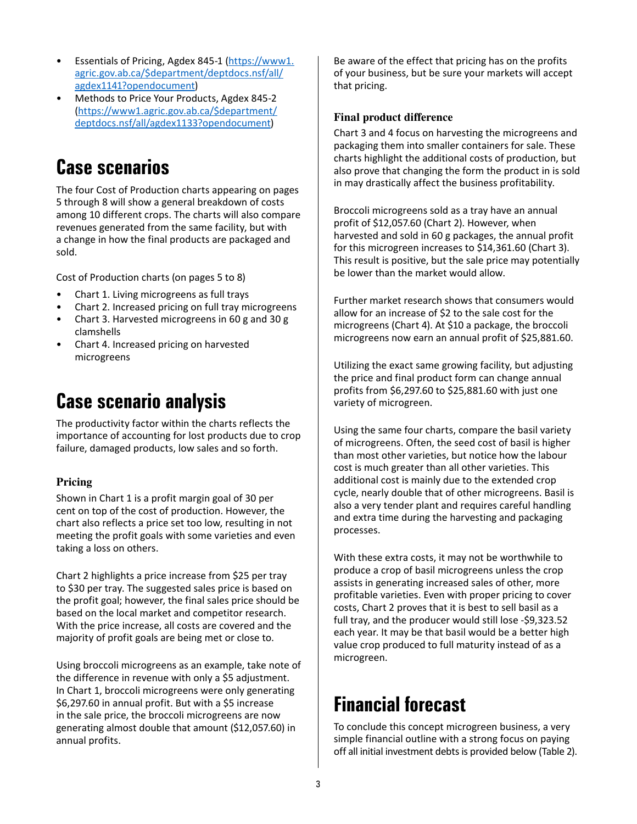- Essentials of Pricing, Agdex 845-1 ([https://www1.](https://www1.agric.gov.ab.ca/$department/deptdocs.nsf/all/agdex1141?opendocument) [agric.gov.ab.ca/\\$department/deptdocs.nsf/all/](https://www1.agric.gov.ab.ca/$department/deptdocs.nsf/all/agdex1141?opendocument) [agdex1141?opendocument](https://www1.agric.gov.ab.ca/$department/deptdocs.nsf/all/agdex1141?opendocument))
- Methods to Price Your Products, Agdex 845-2 [\(https://www1.agric.gov.ab.ca/\\$department/](https://www1.agric.gov.ab.ca/$department/deptdocs.nsf/all/agdex1133?opendocument) [deptdocs.nsf/all/agdex1133?opendocument](https://www1.agric.gov.ab.ca/$department/deptdocs.nsf/all/agdex1133?opendocument))

# **Case scenarios**

The four Cost of Production charts appearing on pages 5 through 8 will show a general breakdown of costs among 10 different crops. The charts will also compare revenues generated from the same facility, but with a change in how the final products are packaged and sold.

Cost of Production charts (on pages 5 to 8)

- Chart 1. Living microgreens as full trays
- Chart 2. Increased pricing on full tray microgreens
- Chart 3. Harvested microgreens in 60 g and 30 g clamshells
- Chart 4. Increased pricing on harvested microgreens

## **Case scenario analysis**

The productivity factor within the charts reflects the importance of accounting for lost products due to crop failure, damaged products, low sales and so forth.

### **Pricing**

Shown in Chart 1 is a profit margin goal of 30 per cent on top of the cost of production. However, the chart also reflects a price set too low, resulting in not meeting the profit goals with some varieties and even taking a loss on others.

Chart 2 highlights a price increase from \$25 per tray to \$30 per tray. The suggested sales price is based on the profit goal; however, the final sales price should be based on the local market and competitor research. With the price increase, all costs are covered and the majority of profit goals are being met or close to.

Using broccoli microgreens as an example, take note of the difference in revenue with only a \$5 adjustment. In Chart 1, broccoli microgreens were only generating \$6,297.60 in annual profit. But with a \$5 increase in the sale price, the broccoli microgreens are now generating almost double that amount (\$12,057.60) in annual profits.

Be aware of the effect that pricing has on the profits of your business, but be sure your markets will accept that pricing.

### **Final product difference**

Chart 3 and 4 focus on harvesting the microgreens and packaging them into smaller containers for sale. These charts highlight the additional costs of production, but also prove that changing the form the product in is sold in may drastically affect the business profitability.

Broccoli microgreens sold as a tray have an annual profit of \$12,057.60 (Chart 2). However, when harvested and sold in 60 g packages, the annual profit for this microgreen increases to \$14,361.60 (Chart 3). This result is positive, but the sale price may potentially be lower than the market would allow.

Further market research shows that consumers would allow for an increase of \$2 to the sale cost for the microgreens (Chart 4). At \$10 a package, the broccoli microgreens now earn an annual profit of \$25,881.60.

Utilizing the exact same growing facility, but adjusting the price and final product form can change annual profits from \$6,297.60 to \$25,881.60 with just one variety of microgreen.

Using the same four charts, compare the basil variety of microgreens. Often, the seed cost of basil is higher than most other varieties, but notice how the labour cost is much greater than all other varieties. This additional cost is mainly due to the extended crop cycle, nearly double that of other microgreens. Basil is also a very tender plant and requires careful handling and extra time during the harvesting and packaging processes.

With these extra costs, it may not be worthwhile to produce a crop of basil microgreens unless the crop assists in generating increased sales of other, more profitable varieties. Even with proper pricing to cover costs, Chart 2 proves that it is best to sell basil as a full tray, and the producer would still lose -\$9,323.52 each year. It may be that basil would be a better high value crop produced to full maturity instead of as a microgreen.

# **Financial forecast**

To conclude this concept microgreen business, a very simple financial outline with a strong focus on paying off all initial investment debts is provided below (Table 2).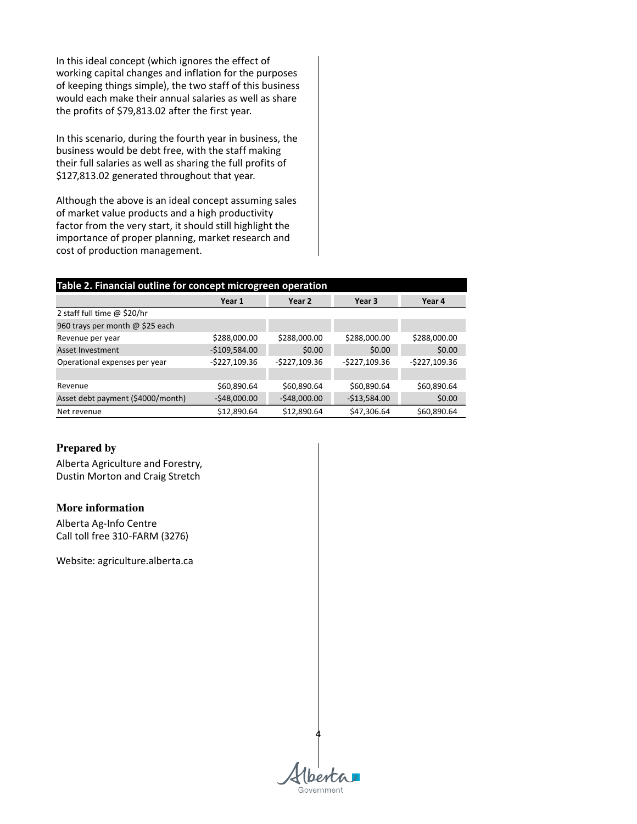In this ideal concept (which ignores the effect of working capital changes and inflation for the purposes of keeping things simple), the two staff of this business would each make their annual salaries as well as share the profits of \$79,813.02 after the first year.

In this scenario, during the fourth year in business, the business would be debt free, with the staff making their full salaries as well as sharing the full profits of \$127,813.02 generated throughout that year.

Although the above is an ideal concept assuming sales of market value products and a high productivity factor from the very start, it should still highlight the importance of proper planning, market research and cost of production management.

| Table 2. Financial outline for concept microgreen operation |                |                |                |                  |
|-------------------------------------------------------------|----------------|----------------|----------------|------------------|
|                                                             | Year 1         | Year 2         | Year 3         | Year 4           |
| 2 staff full time @ \$20/hr                                 |                |                |                |                  |
| 960 trays per month @ \$25 each                             |                |                |                |                  |
| Revenue per year                                            | \$288,000.00   | \$288,000.00   | \$288,000.00   | \$288,000.00     |
| Asset Investment                                            | $-$109,584.00$ | \$0.00         | \$0.00         | \$0.00           |
| Operational expenses per year                               | $-$227,109.36$ | $-$227,109.36$ | $-$227,109.36$ | $-$ \$227,109.36 |
|                                                             |                |                |                |                  |
| Revenue                                                     | \$60,890.64    | \$60,890.64    | \$60,890.64    | \$60,890.64      |
| Asset debt payment (\$4000/month)                           | $-548,000.00$  | $-548,000.00$  | $-$13,584.00$  | \$0.00           |
| Net revenue                                                 | \$12,890.64    | \$12,890.64    | \$47,306.64    | \$60,890.64      |

### **Prepared by**

Alberta Agriculture and Forestry, Dustin Morton and Craig Stretch

#### **More information**

Alberta Ag-Info Centre Call toll free 310-FARM (3276)

Website: agriculture.alberta.ca

4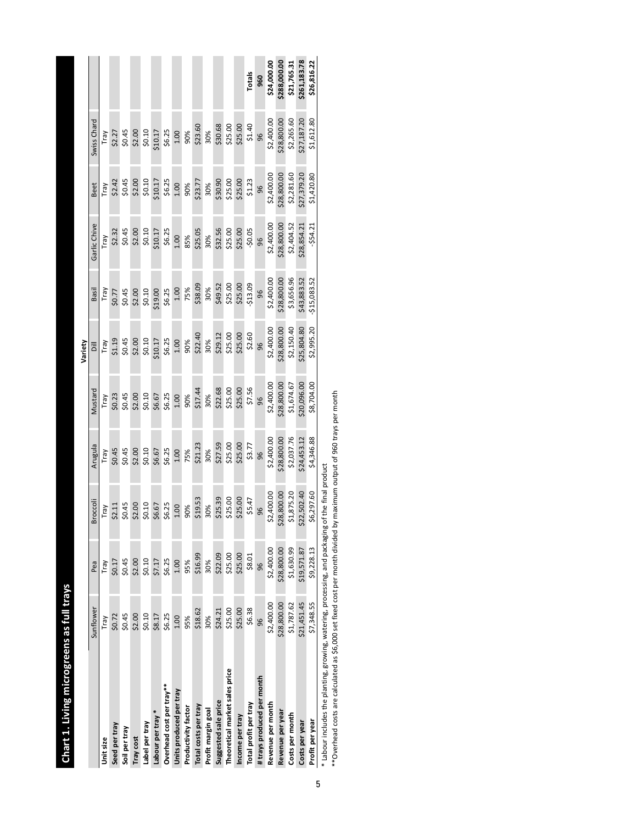|                                |             |             |                 |             |             | Variety     |               |              |             |             |              |
|--------------------------------|-------------|-------------|-----------------|-------------|-------------|-------------|---------------|--------------|-------------|-------------|--------------|
|                                | Sunflower   | Pea         | <b>Broccoli</b> | Arugula     | Mustard     | $\equiv$    | Basil         | Garlic Chive | <b>Beet</b> | Swiss Chard |              |
| Unit size                      | Tray        | Tray        | Tray            | Tray        | Tray        | Tray        | Tray          | Tray         | Tray        | Tray        |              |
| Seed per tray                  | \$0.72      | \$0.17      | \$2.11          | \$0.45      | \$0.23      | \$1.19      | \$0.77        | \$2.32       | \$2.42      | \$2.27      |              |
| Soil per tray                  | \$0.45      | \$0.45      | \$0.45          | \$0.45      | \$0.45      | \$0.45      | \$0.45        | \$0.45       | \$0.45      | \$0.45      |              |
| Tray cost                      | \$2.00      | \$2.00      | \$2.00          | \$2.00      | \$2.00      | \$2.00      | \$2.00        | \$2.00       | \$2.00      | \$2.00      |              |
| Label per tray                 | \$0.10      | \$0.10      | \$0.10          | \$0.10      | \$0.10      | \$0.10      | \$0.10        | \$0.10       | \$0.10      | \$0.10      |              |
| Labour per tray *              | \$8.17      | \$7.17      | \$6.67          | \$6.67      | \$6.67      | \$10.17     | \$19.00       | \$10.17      | \$10.17     | \$10.17     |              |
| Overhead cost per tray**       | \$6.25      | \$6.25      | \$6.25          | \$6.25      | \$6.25      | \$6.25      | \$6.25        | \$6.25       | \$6.25      | \$6.25      |              |
| Units produced per tray        | 1.00        | 1.00        | 1.00            | 1.00        | 1.00        | 1.00        | 1.00          | 1.00         | 1.00        | 1.00        |              |
| Productivity factor            | 95%         | 95%         | 90%             | 75%         | 90%         | 90%         | 75%           | 85%          | 90%         | 90%         |              |
| Total costs per tray           | \$18.62     | \$16.99     | \$19.53         | \$21.23     | \$17.44     | \$22.40     | \$38.09       | \$25.05      | \$23.77     | \$23.60     |              |
| Profit margin goal             | 30%         | 30%         | 30%             | 30%         | 30%         | 30%         | 30%           | 30%          | 30%         | 30%         |              |
| Suggested sale price           | \$24.21     | \$22.09     | \$25.39         | \$27.59     | \$22.68     | \$29.12     | \$49.52       | \$32.56      | \$30.90     | \$30.68     |              |
| Theoretical market sales price | \$25.00     | \$25.00     | \$25.00         | \$25.00     | \$25.00     | \$25.00     | \$25.00       | \$25.00      | \$25.00     | \$25.00     |              |
| Income per tray                | \$25.00     | \$25.00     | \$25.00         | \$25.00     | \$25.00     | \$25.00     | \$25.00       | \$25.00      | \$25.00     | \$25.00     |              |
| Total profit per tray          | \$6.38      | \$8.01      | \$5.47          | \$3.77      | \$7.56      | \$2.60      | $-513.09$     | $-50.05$     | \$1.23      | \$1.40      | Totals       |
| #trays produced per month      | 96          | 96          | 96              | 96          | 96          | 96          | 96            | 96           | 96          | 96          | 960          |
| Revenue per month              | \$2,400.00  | \$2,400.00  | \$2,400.00      | \$2,400.00  | \$2,400.00  | \$2,400.00  | \$2,400.00    | \$2,400.00   | \$2,400.00  | \$2,400.00  | \$24,000.00  |
| Revenue per year               | \$28,800.00 | \$28,800.00 | \$28,800.00     | \$28,800.00 | \$28,800.00 | \$28,800.00 | \$28,800.00   | \$28,800.00  | \$28,800.00 | \$28,800.00 | \$288,000.00 |
| Costs per month                | \$1,787.62  | \$1,630.99  | \$1,875.20      | \$2,037.76  | \$1,674.67  | \$2,150.40  | \$3,656.96    | \$2,404.52   | \$2,281.60  | \$2,265.60  | \$21,765.31  |
| Costs per year                 | \$21,451.45 | \$19,571.87 | \$22,502.40     | \$24,453.12 | \$20,096.00 | \$25,804.80 | \$43,883.52   | \$28,854.21  | \$27,379.20 | \$27,187.20 | \$261,183.78 |
| Profit per year                | \$7,348.55  | \$9,228.13  | \$6,297.60      | \$4,346.88  | \$8,704.00  | \$2,995.20  | $-515,083.52$ | $-554.21$    | \$1,420.80  | \$1,612.80  | \$26,816.22  |

**Chart 1. Living microgreens as full trays**

Chart 1. Living microgreens as full trays

\* Labour includes the planting, growing, watering, processing, and packaging of the final product<br>\*\*Overhead costs are calculated as \$6,000 set fixed cost per month divided by maximum output of 960 trays per month  $\rm^**Overhead$  costs are calculated as \$6,000 set fixed cost per month divided by maximum output of 960 trays per month \* Labour includes the planting, growing, watering, processing, and packaging of the final product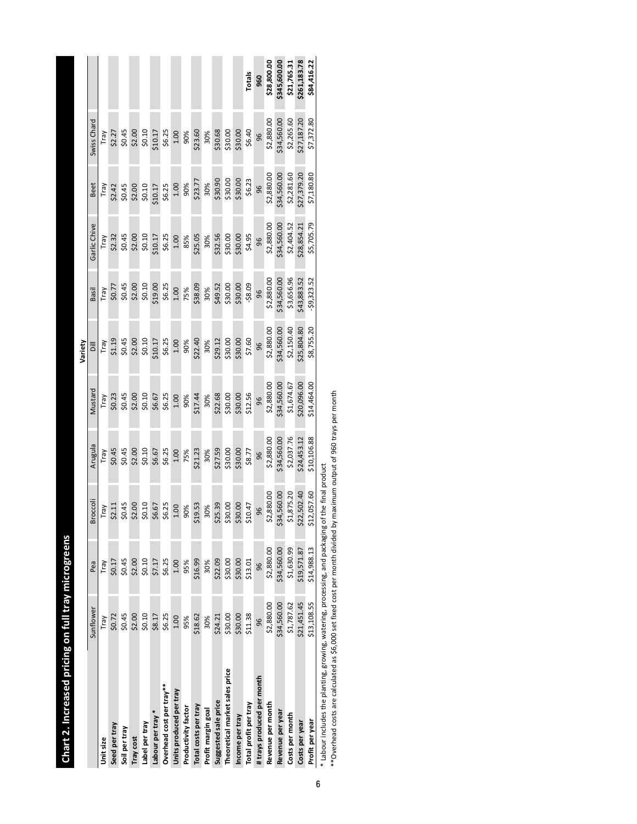| Chart 2. Increased pricing on full tray microgreens |             |             |             |             |             |             |              |              |             |             |              |
|-----------------------------------------------------|-------------|-------------|-------------|-------------|-------------|-------------|--------------|--------------|-------------|-------------|--------------|
|                                                     |             |             |             |             |             | Variety     |              |              |             |             |              |
|                                                     | Sunflower   | Pea         | Broccoli    | Arugula     | Mustard     | $\equiv$    | Basil        | Garlic Chive | <b>Beet</b> | Swiss Chard |              |
| Unit size                                           | Tray        | Tray        | Tray        | Tray        | Tray        | Tray        | Tray         | Tray         | Tray        | Tray        |              |
| Seed per tray                                       | \$0.72      | \$0.17      | \$2.11      | \$0.45      | \$0.23      | \$1.19      | \$0.77       | \$2.32       | \$2.42      | \$2.27      |              |
| Soil per tray                                       | \$0.45      | \$0.45      | \$0.45      | \$0.45      | \$0.45      | \$0.45      | \$0.45       | \$0.45       | \$0.45      | \$0.45      |              |
| Tray cost                                           | \$2.00      | \$2.00      | \$2.00      | \$2.00      | \$2.00      | \$2.00      | \$2.00       | \$2.00       | \$2.00      | \$2.00      |              |
| Label per tray                                      | \$0.10      | \$0.10      | \$0.10      | \$0.10      | \$0.10      | \$0.10      | \$0.10       | \$0.10       | \$0.10      | \$0.10      |              |
| Labour per tray*                                    | \$8.17      | \$7.17      | \$6.67      | \$6.67      | \$6.67      | \$10.17     | \$19.00      | \$10.17      | \$10.17     | \$10.17     |              |
| Overhead cost per tray**                            | \$6.25      | \$6.25      | \$6.25      | \$6.25      | \$6.25      | \$6.25      | \$6.25       | \$6.25       | \$6.25      | \$6.25      |              |
| Units produced per tray                             | 1.00        | 1.00        | 1.00        | 1.00        | 1.00        | 1.00        | 1.00         | 1.00         | 1.00        | 1.00        |              |
| Productivity factor                                 | 95%         | 95%         | 90%         | 75%         | 90%         | 90%         | 75%          | 85%          | 90%         | 90%         |              |
| Total costs per tray                                | \$18.62     | \$16.99     | \$19.53     | \$21.23     | \$17.44     | \$22.40     | \$38.09      | \$25.05      | \$23.77     | \$23.60     |              |
| Profit margin goal                                  | 30%         | 30%         | 30%         | 30%         | 30%         | 30%         | 30%          | 30%          | 30%         | 30%         |              |
| Suggested sale price                                | \$24.21     | \$22.09     | \$25.39     | \$27.59     | \$22.68     | \$29.12     | \$49.52      | \$32.56      | \$30.90     | \$30.68     |              |
| Theoretical market sales price                      | \$30.00     | \$30.00     | \$30.00     | \$30.00     | \$30.00     | \$30.00     | \$30.00      | \$30.00      | \$30.00     | \$30.00     |              |
| Income per tray                                     | \$30.00     | \$30.00     | \$30.00     | \$30.00     | \$30.00     | \$30.00     | \$30.00      | \$30.00      | \$30.00     | \$30.00     |              |
| Total profit per tray                               | \$11.38     | \$13.01     | \$10.47     | \$8.77      | \$12.56     | \$7.60      | $-58.09$     | \$4.95       | \$6.23      | \$6.40      | Totals       |
| #trays produced per month                           | 96          | 96          | 96          | 96          | 96          | 96          | 96           | 96           | 96          | 96          | 960          |
| Revenue per month                                   | \$2,880.00  | \$2,880.00  | \$2,880.00  | \$2,880.00  | \$2,880.00  | \$2,880.00  | \$2,880.00   | \$2,880.00   | \$2,880.00  | \$2,880.00  | \$28,800.00  |
| Revenue per year                                    | \$34,560.00 | \$34,560.00 | \$34,560.00 | \$34,560.00 | \$34,560.00 | \$34,560.00 | \$34,560.00  | \$34,560.00  | \$34,560.00 | \$34,560.00 | \$345,600.00 |
| Costs per month                                     | \$1,787.62  | \$1,630.99  | \$1,875.20  | \$2,037.76  | \$1,674.67  | \$2,150.40  | \$3,656.96   | \$2,404.52   | \$2,281.60  | \$2,265.60  | \$21,765.31  |
| Costs per year                                      | \$21,451.45 | \$19,571.87 | \$22,502.40 | \$24,453.12 | \$20,096.00 | \$25,804.80 | \$43.883.52  | \$28,854.21  | \$27,379.20 | \$27,187.20 | \$261,183.78 |
| Profit per year                                     | \$13,108.55 | \$14,988.13 | \$12,057.60 | \$10,106.88 | \$14,464.00 | \$8,755.20  | $-59,323.52$ | \$5,705.79   | \$7,180.80  | \$7,372.80  | \$84,416.22  |
|                                                     |             |             |             |             |             |             |              |              |             |             |              |

\* Labour includes the planting, growing, watering, processing, and packaging of the final product<br>\*\*Overhead costs are calculated as \$6,000 set fixed cost per month divided by maximum output of 960 trays per month  $\rm^**O$ verhead costs are calculated as \$6,000 set fixed cost per month divided by maximum output of 960 trays per month \* Labour includes the planting, growing, watering, processing, and packaging of the final product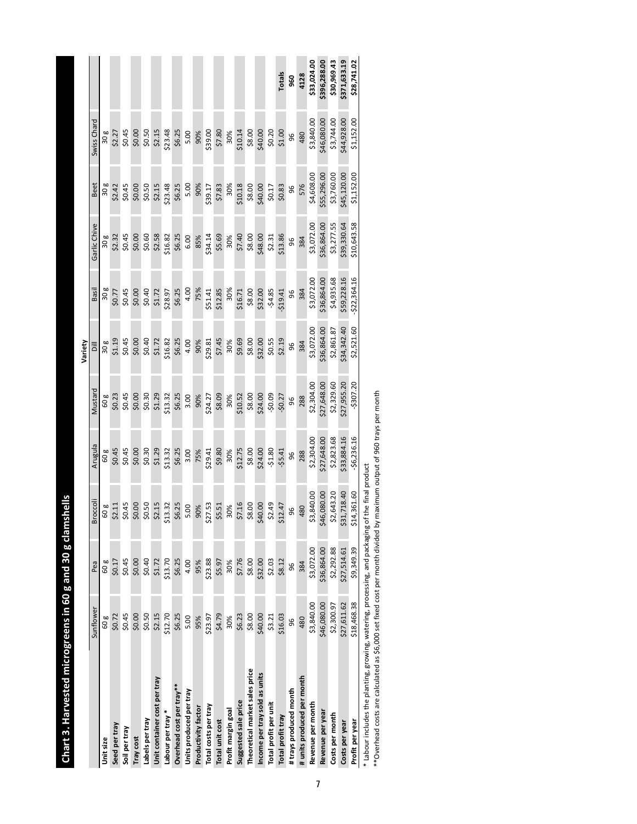| Chart 3. Harvested microgreens in 60 g and 30 g clar                                                |             |             | nshells         |              |             |                |               |              |             |             |              |
|-----------------------------------------------------------------------------------------------------|-------------|-------------|-----------------|--------------|-------------|----------------|---------------|--------------|-------------|-------------|--------------|
|                                                                                                     |             |             |                 |              |             | Variety        |               |              |             |             |              |
|                                                                                                     | Sunflower   | Pea         | <b>Broccoli</b> | Arugula      | Mustard     | $\overline{5}$ | Basil         | Garlic Chive | <b>Beet</b> | Swiss Chard |              |
| Unit size                                                                                           | 60 g        | 60 g        | 60 g            | 60 g         | 60 g        | 30g            | 30g           | 30 g         | 30g         | 30 g        |              |
| Seed per tray                                                                                       | \$0.72      | \$0.17      | \$2.11          | \$0.45       | \$0.23      | \$1.19         | \$0.77        | \$2.32       | \$2.42      | \$2.27      |              |
| Soil per tray                                                                                       | \$0.45      | \$0.45      | \$0.45          | \$0.45       | \$0.45      | \$0.45         | \$0.45        | \$0.45       | \$0.45      | \$0.45      |              |
| Tray cost                                                                                           | \$0.00      | \$0.00      | \$0.00          | \$0.00       | \$0.00      | \$0.00         | \$0.00        | \$0.00       | \$0.00      | \$0.00      |              |
| Labels per tray                                                                                     | \$0.50      | \$0.40      | \$0.50          | \$0.30       | \$0.30      | \$0.40         | \$0.40        | \$0.60       | \$0.50      | \$0.50      |              |
| Unit container cost per tray                                                                        | \$2.15      | \$1.72      | \$2.15          | \$1.29       | \$1.29      | \$1.72         | \$1.72        | \$2.58       | \$2.15      | \$2.15      |              |
| Labour per tray*                                                                                    | \$12.70     | \$13.70     | \$13.32         | \$13.32      | \$13.32     | \$16.82        | \$28.97       | \$16.82      | \$23.48     | \$23.48     |              |
| Overhead cost per tray**                                                                            | \$6.25      | \$6.25      | \$6.25          | \$6.25       | \$6.25      | \$6.25         | \$6.25        | \$6.25       | \$6.25      | \$6.25      |              |
| Units produced per tray                                                                             | 5.00        | 4.00        | 5.00            | 3.00         | 3.00        | 4.00           | 4.00          | 6.00         | 5.00        | 5.00        |              |
| Productivity factor                                                                                 | 95%         | 95%         | 90%             | 75%          | 90%         | 90%            | 75%           | 85%          | 90%         | 90%         |              |
| Total costs per tray                                                                                | \$23.97     | \$23.88     | \$27.53         | \$29.41      | \$24.27     | \$29.81        | \$51.41       | \$34.14      | \$39.17     | \$39.00     |              |
| Total unit cost                                                                                     | \$4.79      | \$5.97      | \$5.51          | \$9.80       | \$8.09      | \$7.45         | \$12.85       | \$5.69       | \$7.83      | \$7.80      |              |
| Profit margin goal                                                                                  | 30%         | 30%         | 30%             | 30%          | 30%         | 30%            | 30%           | 30%          | 30%         | 30%         |              |
| Suggested sale price                                                                                | \$6.23      | \$7.76      | \$7.16          | \$12.75      | \$10.52     | \$9.69         | \$16.71       | \$7.40       | \$10.18     | \$10.14     |              |
| Theoretical market sales price                                                                      | \$8.00      | \$8.00      | \$8.00          | \$8.00       | \$8.00      | \$8.00         | \$8.00        | \$8.00       | \$8.00      | \$8.00      |              |
| Income per tray sold as units                                                                       | \$40.00     | \$32.00     | \$40.00         | \$24.00      | \$24.00     | \$32.00        | \$32.00       | \$48.00      | \$40.00     | \$40.00     |              |
| Total profit per unit                                                                               | \$3.21      | \$2.03      | \$2.49          | $-51.80$     | $-50.09$    | \$0.55         | $-54.85$      | \$2.31       | \$0.17      | \$0.20      |              |
| Total profit tray                                                                                   | \$16.03     | \$8.12      | \$12.47         | $-55.41$     | $-50.27$    | \$2.19         | \$19.41       | \$13.86      | \$0.83      | \$1.00      | Totals       |
| #trays produced month                                                                               | 96          | 96          | 96              | 96           | 96          | 96             | 96            | 96           | 96          | 96          | 960          |
| # units produced per month                                                                          | 480         | 384         | 480             | 288          | 288         | 384            | 384           | 384          | 576         | 480         | 4128         |
| Revenue per month                                                                                   | \$3,840.00  | \$3,072.00  | \$3,840.00      | \$2,304.00   | \$2,304.00  | \$3,072.00     | \$3,072.00    | \$3,072.00   | \$4,608.00  | \$3,840.00  | \$33,024.00  |
| Revenue per year                                                                                    | \$46,080.00 | \$36,864.00 | \$46,080.00     | \$27,648.00  | \$27,648.00 | \$36,864.00    | \$36,864.00   | \$36,864.00  | \$55,296.00 | \$46,080.00 | \$396,288.00 |
| Costs per month                                                                                     | \$2,300.97  | \$2,292.88  | \$2,643.20      | \$2,823.68   | \$2,329.60  | \$2,861.87     | \$4,935.68    | \$3,277.55   | \$3,760.00  | \$3,744.00  | \$30,969.43  |
| Costs per year                                                                                      | \$27,611.62 | \$27,514.61 | \$31,718.40     | \$33,884.16  | \$27,955.20 | \$34,342.40    | \$59,228.16   | \$39,330.64  | \$45,120.00 | \$44,928.00 | \$371,633.19 |
| Profit per year                                                                                     | \$18,468.38 | \$9,349.39  | \$14,361.60     | $-56,236.16$ | $-5307.20$  | \$2,521.60     | $-522,364.16$ | \$10,643.58  | \$1,152.00  | \$1,152.00  | \$28,741.02  |
| $*$ Labour includes the planting, growing, watering, processing, and packaging of the final product |             |             |                 |              |             |                |               |              |             |             |              |

\*\*Overhead costs are calculated as \$6,000 set fixed cost per month divided by maximum output of 960 trays per month \*\*Overhead costs are calculated as \$6,000 set fixed cost per month divided by maximum output of 960 trays per month